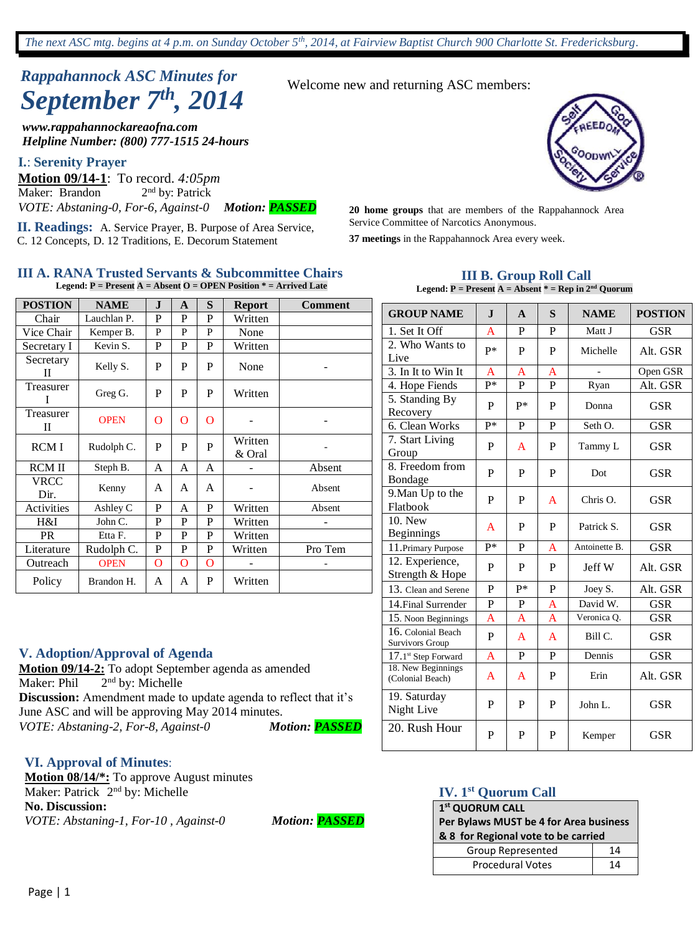# *Rappahannock ASC Minutes for September 7th , 2014*

*www.rappahannockareaofna.com Helpline Number: (800) 777-1515 24-hours*

#### **I.**: **Serenity Prayer**

**Motion 09/14-1**: To record. *4:05pm* Maker: Brandon  $2<sup>nd</sup>$  by: Patrick *VOTE: Abstaning-0, For-6, Against-0 Motion: PASSED*

**II. Readings:** A. Service Prayer, B. Purpose of Area Service, C. 12 Concepts, D. 12 Traditions, E. Decorum Statement

#### **III A. RANA Trusted Servants & Subcommittee Chairs Legend: P = Present A = Absent O = OPEN Position \* = Arrived Late**

| <b>POSTION</b> | <b>NAME</b> | $\mathbf I$    | A              | S | <b>Report</b>     | <b>Comment</b> |
|----------------|-------------|----------------|----------------|---|-------------------|----------------|
| Chair          | Lauchlan P. | P              | P              | P | Written           |                |
| Vice Chair     | Kemper B.   | P              | P              | P | None              |                |
| Secretary I    | Kevin S.    | P              | P              | P | Written           |                |
| Secretary<br>Н | Kelly S.    | P              | P              | P | None              |                |
| Treasurer<br>T | Greg G.     | P              | P              | P | Written           |                |
| Treasurer<br>П | <b>OPEN</b> | $\overline{O}$ | $\overline{O}$ | O |                   |                |
| <b>RCMI</b>    | Rudolph C.  | P              | P              | P | Written<br>& Oral |                |
| <b>RCM II</b>  | Steph B.    | A              | A              | A |                   | Absent         |
| VRCC<br>Dir.   | Kenny       | A              | A              | A |                   | Absent         |
| Activities     | Ashley C    | P              | A              | P | Written           | Absent         |
| H&I            | John C.     | P              | P              | P | Written           |                |
| <b>PR</b>      | Etta F.     | P              | P              | P | Written           |                |
| Literature     | Rudolph C.  | P              | P              | P | Written           | Pro Tem        |
| Outreach       | <b>OPEN</b> | O              | O              | O |                   |                |
| Policy         | Brandon H.  | A              | A              | P | Written           |                |

#### **V. Adoption/Approval of Agenda**

**Motion 09/14-2:** To adopt September agenda as amended Maker: Phil 2<sup>nd</sup> by: Michelle **Discussion:** Amendment made to update agenda to reflect that it's June ASC and will be approving May 2014 minutes. *VOTE: Abstaning-2, For-8, Against-0 Motion: PASSED*

#### **VI. Approval of Minutes**:

**Motion 08/14/\*:** To approve August minutes Maker: Patrick 2<sup>nd</sup> by: Michelle **No. Discussion:** *VOTE: Abstaning-1, For-10 , Against-0 Motion: PASSED*

Welcome new and returning ASC members:



**20 home groups** that are members of the Rappahannock Area Service Committee of Narcotics Anonymous.

**37 meetings** in the Rappahannock Area every week.

#### **III B. Group Roll Call Legend: P = Present A = Absent \* = Rep in 2nd Quorum**

| <b>GROUP NAME</b>                      | $\mathbf{I}$   | $\mathbf{A}$ | S | <b>NAME</b>   | <b>POSTION</b> |
|----------------------------------------|----------------|--------------|---|---------------|----------------|
| 1. Set It Off                          | $\overline{A}$ | P            | P | Matt J        | <b>GSR</b>     |
| 2. Who Wants to<br>Live                | $P*$           | P            | P | Michelle      | Alt. GSR       |
| 3. In It to Win It                     | A              | A            | A |               | Open GSR       |
| 4. Hope Fiends                         | p*             | $\mathbf{P}$ | P | Ryan          | Alt. GSR       |
| 5. Standing By<br>Recovery             | P              | $P*$         | P | Donna         | GSR            |
| 6. Clean Works                         | p*             | P            | P | Seth O.       | <b>GSR</b>     |
| 7. Start Living<br>Group               | P              | A            | P | Tammy L       | <b>GSR</b>     |
| 8. Freedom from<br>Bondage             | P              | P            | P | Dot           | <b>GSR</b>     |
| 9. Man Up to the<br>Flatbook           | P              | P            | A | Chris $O$ .   | GSR            |
| 10. New<br><b>Beginnings</b>           | A              | P            | P | Patrick S.    | <b>GSR</b>     |
| 11. Primary Purpose                    | $P^*$          | P            | A | Antoinette B. | <b>GSR</b>     |
| 12. Experience,<br>Strength & Hope     | P              | P            | P | Jeff W        | Alt. GSR       |
| 13. Clean and Serene                   | P              | P*           | P | Joey S.       | Alt. GSR       |
| 14. Final Surrender                    | $\mathbf P$    | P            | A | David W.      | <b>GSR</b>     |
| 15. Noon Beginnings                    | A              | A            | A | Veronica Q.   | <b>GSR</b>     |
| 16. Colonial Beach<br>Survivors Group  | P              | A            | A | Bill C.       | GSR            |
| $17.1$ <sup>st</sup> Step Forward      | $\mathsf{A}$   | P            | P | Dennis        | <b>GSR</b>     |
| 18. New Beginnings<br>(Colonial Beach) | A              | A            | P | Erin          | Alt. GSR       |
| 19. Saturday<br>Night Live             | P              | P            | P | John L.       | <b>GSR</b>     |
| 20. Rush Hour                          | P              | P            | P | Kemper        | <b>GSR</b>     |

#### **IV. 1st Quorum Call**

#### **1 st QUORUM CALL Per Bylaws MUST be 4 for Area business & 8 for Regional vote to be carried** Group Represented | 14 Procedural Votes 14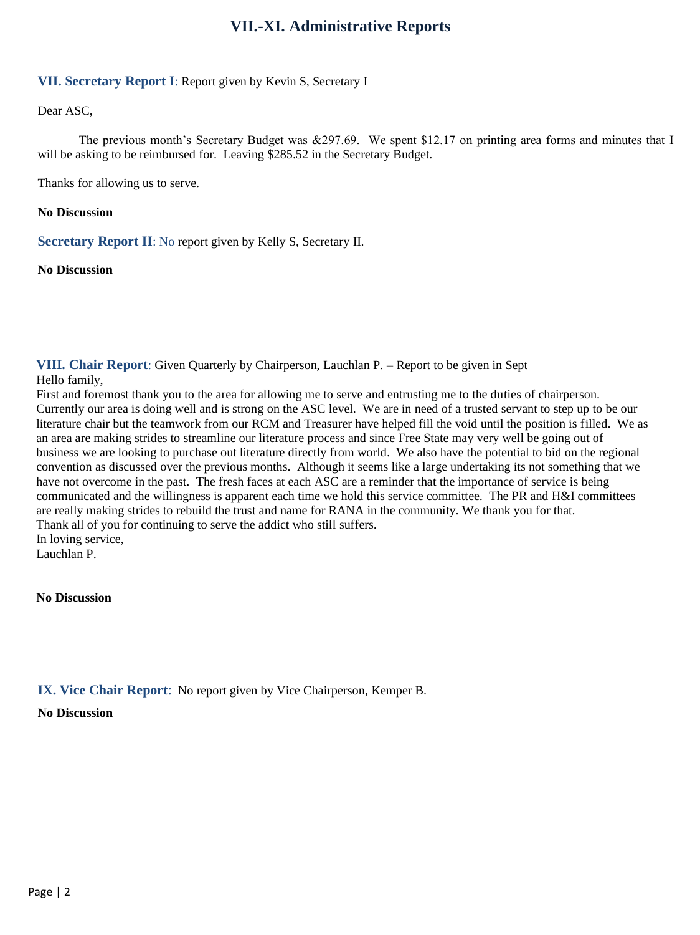## **VII.-XI. Administrative Reports**

### **VII. Secretary Report I**: Report given by Kevin S, Secretary I

Dear ASC,

The previous month's Secretary Budget was &297.69. We spent \$12.17 on printing area forms and minutes that I will be asking to be reimbursed for. Leaving \$285.52 in the Secretary Budget.

Thanks for allowing us to serve.

#### **No Discussion**

**Secretary Report II**: No report given by Kelly S, Secretary II.

**No Discussion**

**VIII. Chair Report**: Given Quarterly by Chairperson, Lauchlan P. – Report to be given in Sept

Hello family,

First and foremost thank you to the area for allowing me to serve and entrusting me to the duties of chairperson. Currently our area is doing well and is strong on the ASC level. We are in need of a trusted servant to step up to be our literature chair but the teamwork from our RCM and Treasurer have helped fill the void until the position is filled. We as an area are making strides to streamline our literature process and since Free State may very well be going out of business we are looking to purchase out literature directly from world. We also have the potential to bid on the regional convention as discussed over the previous months. Although it seems like a large undertaking its not something that we have not overcome in the past. The fresh faces at each ASC are a reminder that the importance of service is being communicated and the willingness is apparent each time we hold this service committee. The PR and H&I committees are really making strides to rebuild the trust and name for RANA in the community. We thank you for that. Thank all of you for continuing to serve the addict who still suffers. In loving service,

Lauchlan P.

**No Discussion**

**IX. Vice Chair Report**: No report given by Vice Chairperson, Kemper B.

**No Discussion**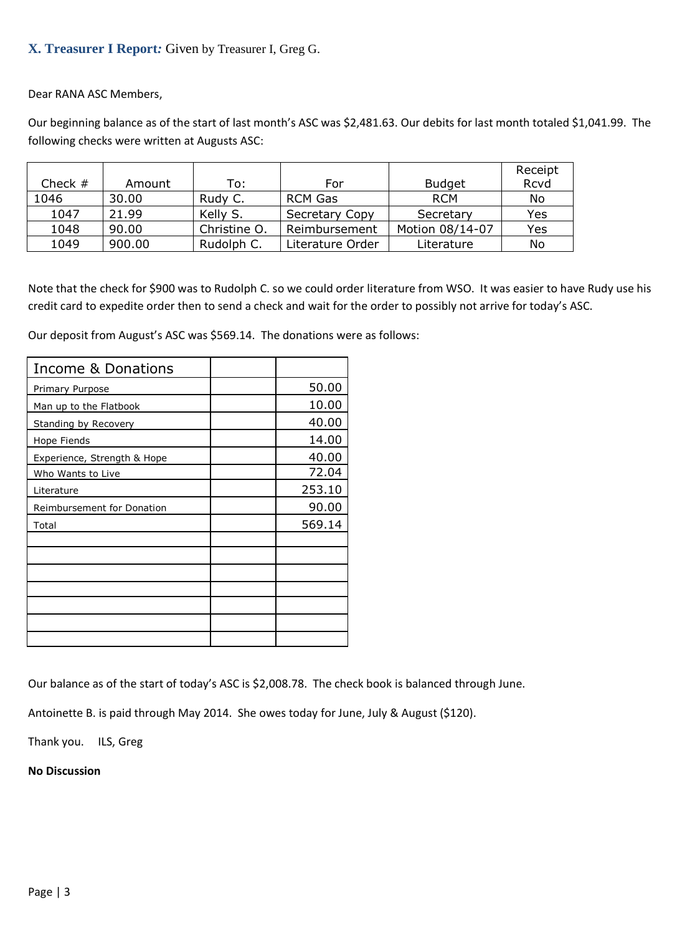## **X. Treasurer I Report***:* Given by Treasurer I, Greg G.

Dear RANA ASC Members,

Our beginning balance as of the start of last month's ASC was \$2,481.63. Our debits for last month totaled \$1,041.99. The following checks were written at Augusts ASC:

|           |        |              |                  |                 | Receipt |
|-----------|--------|--------------|------------------|-----------------|---------|
| Check $#$ | Amount | To:          | For              | <b>Budget</b>   | Rcvd    |
| 1046      | 30.00  | Rudy C.      | <b>RCM Gas</b>   | <b>RCM</b>      | No      |
| 1047      | 21.99  | Kelly S.     | Secretary Copy   | Secretary       | Yes     |
| 1048      | 90.00  | Christine O. | Reimbursement    | Motion 08/14-07 | Yes     |
| 1049      | 900.00 | Rudolph C.   | Literature Order | Literature      | No      |

Note that the check for \$900 was to Rudolph C. so we could order literature from WSO. It was easier to have Rudy use his credit card to expedite order then to send a check and wait for the order to possibly not arrive for today's ASC.

Our deposit from August's ASC was \$569.14. The donations were as follows:

| <b>Income &amp; Donations</b> |        |
|-------------------------------|--------|
| Primary Purpose               | 50.00  |
| Man up to the Flatbook        | 10.00  |
| Standing by Recovery          | 40.00  |
| Hope Fiends                   | 14.00  |
| Experience, Strength & Hope   | 40.00  |
| Who Wants to Live             | 72.04  |
| Literature                    | 253.10 |
| Reimbursement for Donation    | 90.00  |
| Total                         | 569.14 |
|                               |        |
|                               |        |
|                               |        |
|                               |        |
|                               |        |
|                               |        |
|                               |        |

Our balance as of the start of today's ASC is \$2,008.78. The check book is balanced through June.

Antoinette B. is paid through May 2014. She owes today for June, July & August (\$120).

Thank you. ILS, Greg

**No Discussion**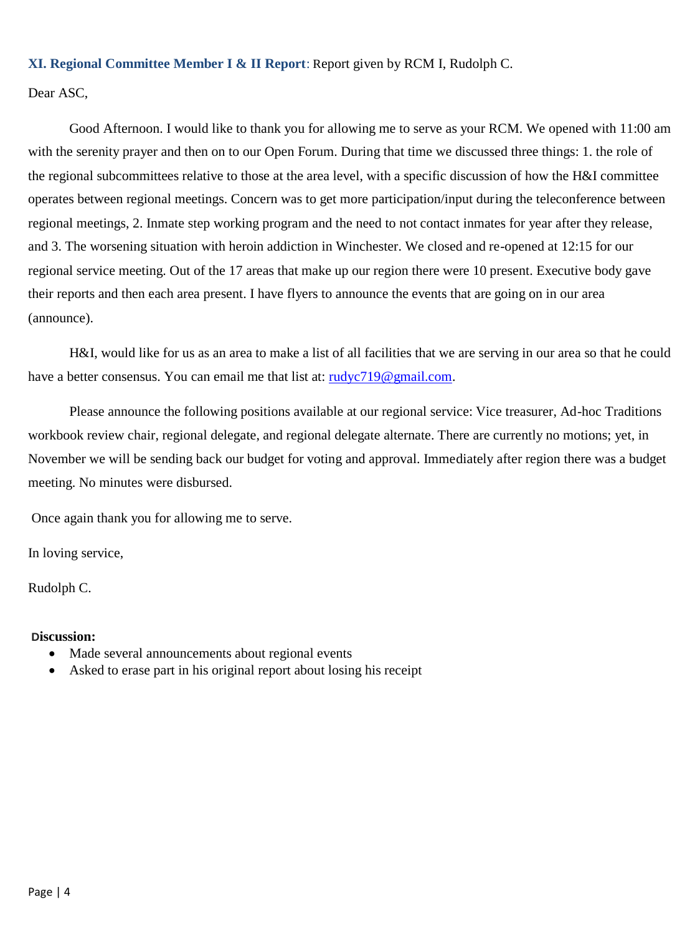## **XI. Regional Committee Member I & II Report**: Report given by RCM I, Rudolph C.

Dear ASC,

Good Afternoon. I would like to thank you for allowing me to serve as your RCM. We opened with 11:00 am with the serenity prayer and then on to our Open Forum. During that time we discussed three things: 1. the role of the regional subcommittees relative to those at the area level, with a specific discussion of how the H&I committee operates between regional meetings. Concern was to get more participation/input during the teleconference between regional meetings, 2. Inmate step working program and the need to not contact inmates for year after they release, and 3. The worsening situation with heroin addiction in Winchester. We closed and re-opened at 12:15 for our regional service meeting. Out of the 17 areas that make up our region there were 10 present. Executive body gave their reports and then each area present. I have flyers to announce the events that are going on in our area (announce).

H&I, would like for us as an area to make a list of all facilities that we are serving in our area so that he could have a better consensus. You can email me that list at: [rudyc719@gmail.com.](mailto:rudyc719@gmail.com)

Please announce the following positions available at our regional service: Vice treasurer, Ad-hoc Traditions workbook review chair, regional delegate, and regional delegate alternate. There are currently no motions; yet, in November we will be sending back our budget for voting and approval. Immediately after region there was a budget meeting. No minutes were disbursed.

Once again thank you for allowing me to serve.

In loving service,

Rudolph C.

#### **Discussion:**

- Made several announcements about regional events
- Asked to erase part in his original report about losing his receipt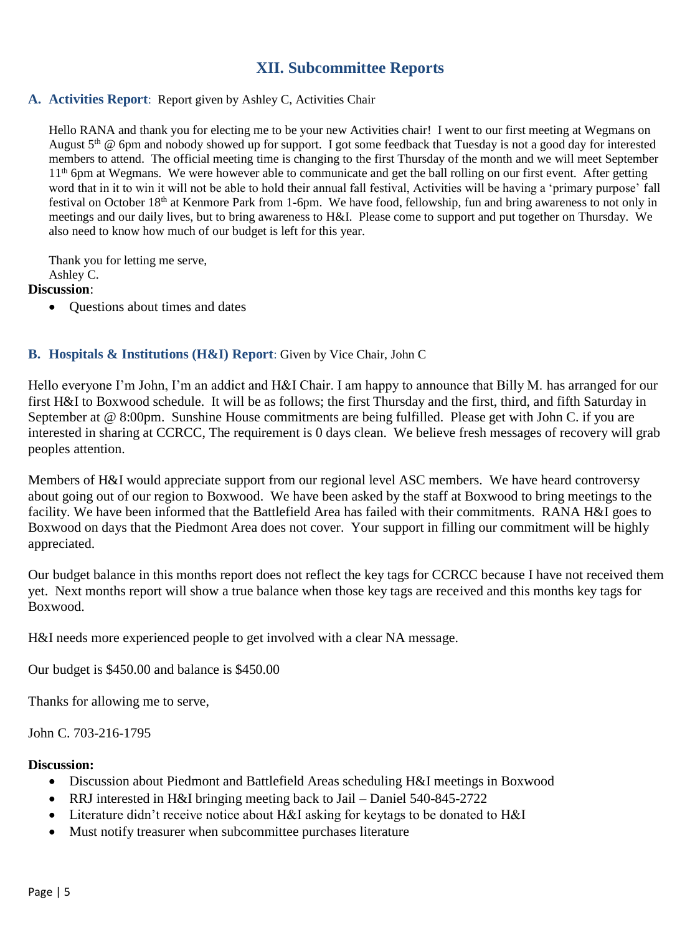## **XII. Subcommittee Reports**

#### **A. Activities Report**: Report given by Ashley C, Activities Chair

Hello RANA and thank you for electing me to be your new Activities chair! I went to our first meeting at Wegmans on August 5<sup>th</sup> @ 6pm and nobody showed up for support. I got some feedback that Tuesday is not a good day for interested members to attend. The official meeting time is changing to the first Thursday of the month and we will meet September 11<sup>th</sup> 6pm at Wegmans. We were however able to communicate and get the ball rolling on our first event. After getting word that in it to win it will not be able to hold their annual fall festival, Activities will be having a 'primary purpose' fall festival on October 18th at Kenmore Park from 1-6pm. We have food, fellowship, fun and bring awareness to not only in meetings and our daily lives, but to bring awareness to H&I. Please come to support and put together on Thursday. We also need to know how much of our budget is left for this year.

Thank you for letting me serve, Ashley C.

**Discussion**:

• Ouestions about times and dates

### **B. Hospitals & Institutions (H&I) Report**: Given by Vice Chair, John C

Hello everyone I'm John, I'm an addict and H&I Chair. I am happy to announce that Billy M. has arranged for our first H&I to Boxwood schedule. It will be as follows; the first Thursday and the first, third, and fifth Saturday in September at @ 8:00pm. Sunshine House commitments are being fulfilled. Please get with John C. if you are interested in sharing at CCRCC, The requirement is 0 days clean. We believe fresh messages of recovery will grab peoples attention.

Members of H&I would appreciate support from our regional level ASC members. We have heard controversy about going out of our region to Boxwood. We have been asked by the staff at Boxwood to bring meetings to the facility. We have been informed that the Battlefield Area has failed with their commitments. RANA H&I goes to Boxwood on days that the Piedmont Area does not cover. Your support in filling our commitment will be highly appreciated.

Our budget balance in this months report does not reflect the key tags for CCRCC because I have not received them yet. Next months report will show a true balance when those key tags are received and this months key tags for Boxwood.

H&I needs more experienced people to get involved with a clear NA message.

Our budget is \$450.00 and balance is \$450.00

Thanks for allowing me to serve,

John C. 703-216-1795

#### **Discussion:**

- Discussion about Piedmont and Battlefield Areas scheduling H&I meetings in Boxwood
- RRJ interested in H&I bringing meeting back to Jail Daniel 540-845-2722
- Literature didn't receive notice about H&I asking for keytags to be donated to H&I
- Must notify treasurer when subcommittee purchases literature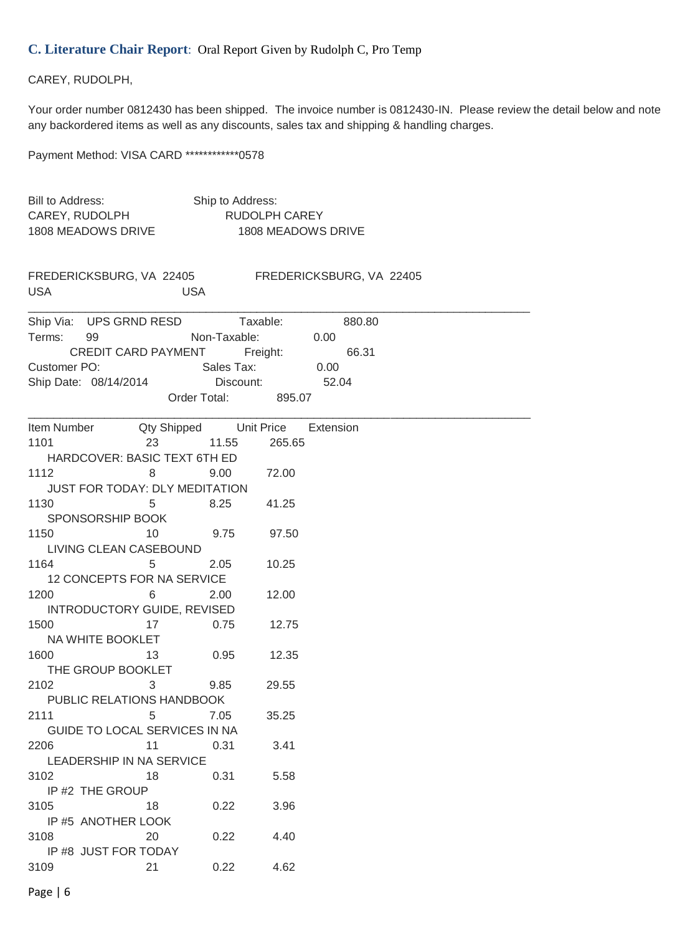### **C. Literature Chair Report**: Oral Report Given by Rudolph C, Pro Temp

#### CAREY, RUDOLPH,

Your order number 0812430 has been shipped. The invoice number is 0812430-IN. Please review the detail below and note any backordered items as well as any discounts, sales tax and shipping & handling charges.

Payment Method: VISA CARD \*\*\*\*\*\*\*\*\*\*\*\*0578

| Bill to Address:<br>CAREY, RUDOLPH     |            | Ship to Address:    | <b>RUDOLPH CAREY</b> |                          |  |  |
|----------------------------------------|------------|---------------------|----------------------|--------------------------|--|--|
| 1808 MEADOWS DRIVE                     |            |                     |                      | 1808 MEADOWS DRIVE       |  |  |
| FREDERICKSBURG, VA 22405<br><b>USA</b> | <b>USA</b> |                     |                      | FREDERICKSBURG, VA 22405 |  |  |
| Ship Via: UPS GRND RESD                |            |                     | Taxable:             | 880.80                   |  |  |
| Terms:<br>99                           |            | Non-Taxable:        |                      | 0.00                     |  |  |
| CREDIT CARD PAYMENT                    |            |                     | Freight: The Theory  | 66.31                    |  |  |
| Customer PO:                           |            | Sales Tax:          |                      | 0.00                     |  |  |
| Ship Date: 08/14/2014                  |            | Discount: 52.04     |                      |                          |  |  |
|                                        |            | Order Total: 895.07 |                      |                          |  |  |
| Item Number Cty Shipped Unit Price     |            |                     |                      | Extension                |  |  |
| 1101                                   | 23         | 11.55               | 265.65               |                          |  |  |
| HARDCOVER: BASIC TEXT 6TH ED           |            |                     |                      |                          |  |  |
| 1112                                   | 8          | 9.00                | 72.00                |                          |  |  |
| <b>JUST FOR TODAY: DLY MEDITATION</b>  |            |                     |                      |                          |  |  |
| 1130                                   | 5          | 8.25                | 41.25                |                          |  |  |
| SPONSORSHIP BOOK                       |            |                     |                      |                          |  |  |
| 1150                                   | 10         | 9.75                | 97.50                |                          |  |  |
| LIVING CLEAN CASEBOUND                 |            |                     |                      |                          |  |  |
| 1164                                   | 5          | 2.05                | 10.25                |                          |  |  |
| 12 CONCEPTS FOR NA SERVICE             |            |                     |                      |                          |  |  |
| 1200                                   | 6          | 2.00                | 12.00                |                          |  |  |
| <b>INTRODUCTORY GUIDE, REVISED</b>     |            |                     |                      |                          |  |  |
| 1500                                   | 17         | 0.75                | 12.75                |                          |  |  |
| NA WHITE BOOKLET                       |            |                     |                      |                          |  |  |
| 1600                                   | 13         | 0.95                | 12.35                |                          |  |  |
| THE GROUP BOOKLET                      |            |                     |                      |                          |  |  |
| 2102                                   | 3          | 9.85                | 29.55                |                          |  |  |
| PUBLIC RELATIONS HANDBOOK              |            |                     |                      |                          |  |  |
| 2111<br>GUIDE TO LOCAL SERVICES IN NA  | 5          | 7.05                | 35.25                |                          |  |  |
| 2206                                   | 11         | 0.31                | 3.41                 |                          |  |  |
| LEADERSHIP IN NA SERVICE               |            |                     |                      |                          |  |  |
| 3102                                   | 18         | 0.31                | 5.58                 |                          |  |  |
| IP #2 THE GROUP                        |            |                     |                      |                          |  |  |
| 3105                                   | 18         | 0.22                | 3.96                 |                          |  |  |
| IP #5 ANOTHER LOOK                     |            |                     |                      |                          |  |  |
| 3108                                   | 20         | 0.22                | 4.40                 |                          |  |  |
| IP #8 JUST FOR TODAY                   |            |                     |                      |                          |  |  |
| 3109                                   | 21         | 0.22                | 4.62                 |                          |  |  |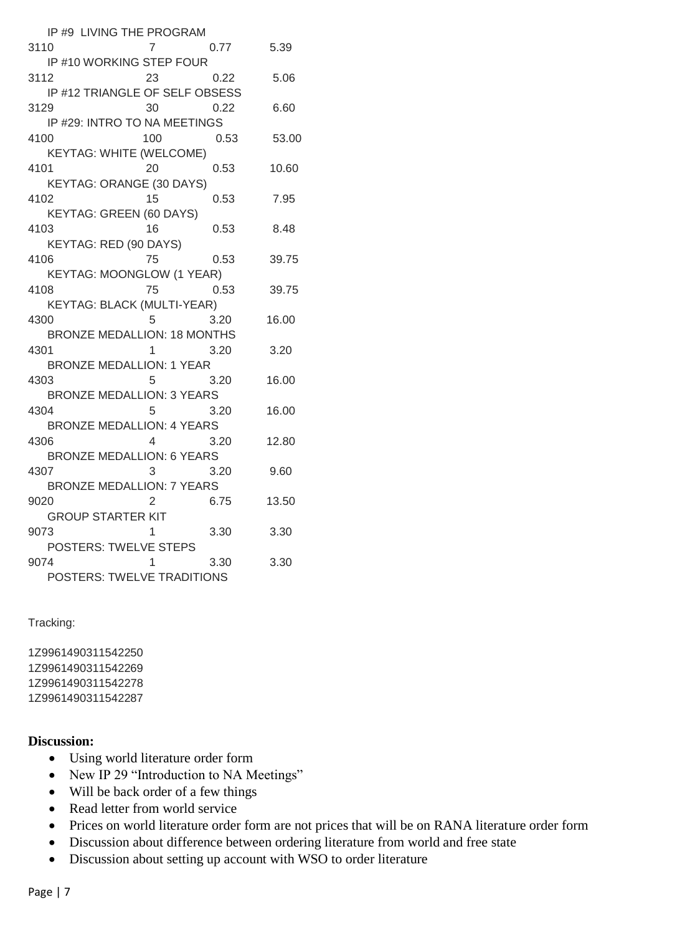| IP #9 LIVING THE PROGRAM                  |                        |           |       |
|-------------------------------------------|------------------------|-----------|-------|
| 3110                                      | 7                      | 0.77 5.39 |       |
| IP #10 WORKING STEP FOUR                  |                        |           |       |
| 3112                                      |                        | 23 0.22   | 5.06  |
| IP #12 TRIANGLE OF SELF OBSESS            |                        |           |       |
| 3129                                      | 30                     | 0.22      | 6.60  |
| IP #29: INTRO TO NA MEETINGS              |                        |           |       |
| 4100                                      | 100                    | 0.53      | 53.00 |
| <b>KEYTAG: WHITE (WELCOME)</b>            |                        |           |       |
| 4101                                      | 20                     | 0.53      | 10.60 |
| <b>KEYTAG: ORANGE (30 DAYS)</b>           |                        |           |       |
| 4102                                      | 15                     | 0.53      | 7.95  |
| KEYTAG: GREEN (60 DAYS)                   |                        |           |       |
| 4103                                      | 16                     | 0.53      | 8.48  |
| יט<br>KEYTAG: RED (90 DAYS)               |                        |           |       |
| 4106                                      | 75                     | 0.53      | 39.75 |
| <b>KEYTAG: MOONGLOW (1 YEAR)</b>          |                        |           |       |
| 4108                                      |                        | 75 0.53   | 39.75 |
| ס.ט 15 - V.<br>KEYTAG: BLACK (MULTI-YEAR) |                        |           |       |
| 4300                                      |                        | 5 3.20    | 16.00 |
| <b>BRONZE MEDALLION: 18 MONTHS</b>        |                        |           |       |
| 4301                                      | $1 \quad \blacksquare$ | 3.20      | 3.20  |
| <b>BRONZE MEDALLION: 1 YEAR</b>           |                        |           |       |
| 4303                                      |                        | 5 3.20    | 16.00 |
| <b>BRONZE MEDALLION: 3 YEARS</b>          |                        |           |       |
| 4304                                      |                        | 5 3.20    | 16.00 |
| <b>BRONZE MEDALLION: 4 YEARS</b>          |                        |           |       |
| 4306                                      |                        | 4 3.20    | 12.80 |
| <b>BRONZE MEDALLION: 6 YEARS</b>          |                        |           |       |
| 4307                                      |                        | 3 3.20    | 9.60  |
| <b>BRONZE MEDALLION: 7 YEARS</b>          |                        |           |       |
| 9020                                      |                        |           | 13.50 |
| 2 6.75<br>GROUP STARTER KIT<br>3 1 3.30   |                        |           |       |
| 9073                                      |                        |           | 3.30  |
| POSTERS: TWELVE STEPS                     |                        |           |       |
| 9074                                      | $1 \quad \blacksquare$ | 3.30      | 3.30  |
| POSTERS: TWELVE TRADITIONS                |                        |           |       |

#### Tracking:

1Z9961490311542250 1Z9961490311542269 1Z9961490311542278 1Z9961490311542287

#### **Discussion:**

- Using world literature order form
- New IP 29 "Introduction to NA Meetings"
- Will be back order of a few things
- Read letter from world service
- Prices on world literature order form are not prices that will be on RANA literature order form
- Discussion about difference between ordering literature from world and free state
- Discussion about setting up account with WSO to order literature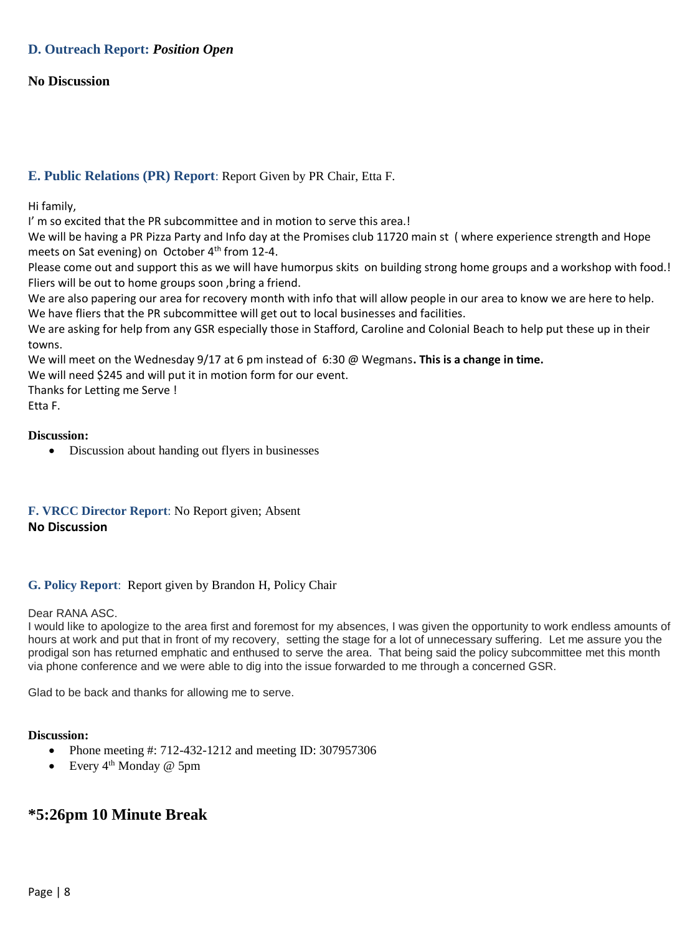### **D. Outreach Report:** *Position Open*

#### **No Discussion**

### **E. Public Relations (PR) Report**: Report Given by PR Chair, Etta F.

Hi family,

I' m so excited that the PR subcommittee and in motion to serve this area.!

We will be having a PR Pizza Party and Info day at the Promises club 11720 main st ( where experience strength and Hope meets on Sat evening) on October 4<sup>th</sup> from 12-4.

Please come out and support this as we will have humorpus skits on building strong home groups and a workshop with food.! Fliers will be out to home groups soon ,bring a friend.

We are also papering our area for recovery month with info that will allow people in our area to know we are here to help. We have fliers that the PR subcommittee will get out to local businesses and facilities.

We are asking for help from any GSR especially those in Stafford, Caroline and Colonial Beach to help put these up in their towns.

We will meet on the Wednesday 9/17 at 6 pm instead of 6:30 @ Wegmans**. This is a change in time.**

We will need \$245 and will put it in motion form for our event.

Thanks for Letting me Serve !

Etta F.

#### **Discussion:**

Discussion about handing out flyers in businesses

### **F. VRCC Director Report**: No Report given; Absent **No Discussion**

#### **G. Policy Report**: Report given by Brandon H, Policy Chair

#### Dear RANA ASC.

I would like to apologize to the area first and foremost for my absences, I was given the opportunity to work endless amounts of hours at work and put that in front of my recovery, setting the stage for a lot of unnecessary suffering. Let me assure you the prodigal son has returned emphatic and enthused to serve the area. That being said the policy subcommittee met this month via phone conference and we were able to dig into the issue forwarded to me through a concerned GSR.

Glad to be back and thanks for allowing me to serve.

#### **Discussion:**

- Phone meeting #: 712-432-1212 and meeting ID: 307957306
- Every  $4<sup>th</sup>$  Monday @ 5pm

## **\*5:26pm 10 Minute Break**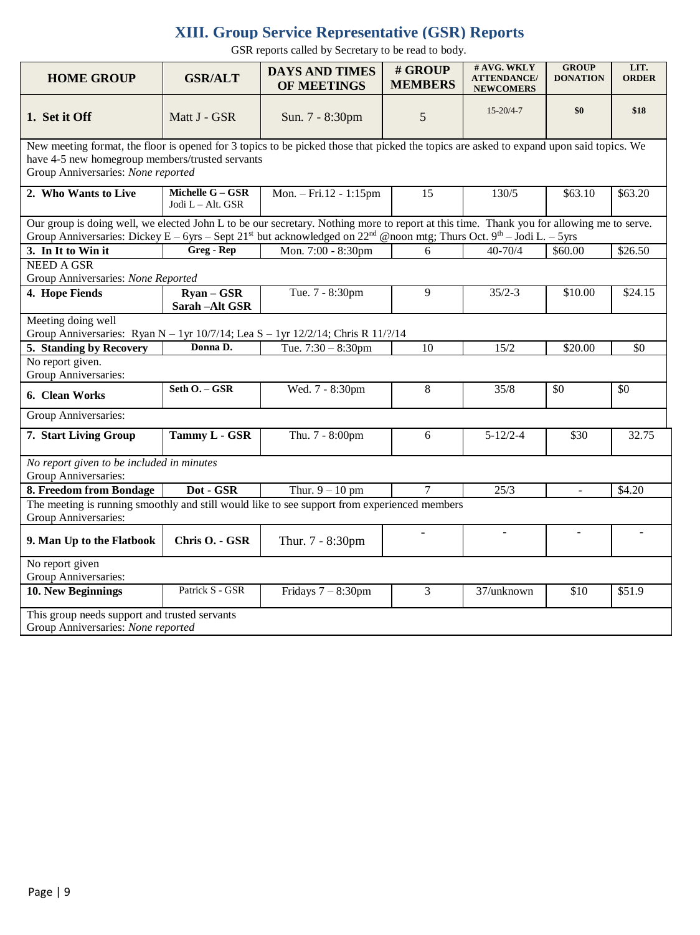## **XIII. Group Service Representative (GSR) Reports**

GSR reports called by Secretary to be read to body.

| <b>HOME GROUP</b>                                                                                                                                                                                                                | <b>GSR/ALT</b>                                                                                                                                                                                                                                                                                       | <b>DAYS AND TIMES</b><br>OF MEETINGS | # GROUP<br><b>MEMBERS</b> | # AVG. WKLY<br><b>ATTENDANCE/</b><br><b>NEWCOMERS</b> | <b>GROUP</b><br><b>DONATION</b> | LIT.<br><b>ORDER</b> |  |  |
|----------------------------------------------------------------------------------------------------------------------------------------------------------------------------------------------------------------------------------|------------------------------------------------------------------------------------------------------------------------------------------------------------------------------------------------------------------------------------------------------------------------------------------------------|--------------------------------------|---------------------------|-------------------------------------------------------|---------------------------------|----------------------|--|--|
| 1. Set it Off                                                                                                                                                                                                                    | Matt J - GSR                                                                                                                                                                                                                                                                                         | Sun. 7 - 8:30pm                      | 5                         | $15 - 20/4 - 7$                                       | \$0                             | \$18                 |  |  |
| New meeting format, the floor is opened for 3 topics to be picked those that picked the topics are asked to expand upon said topics. We<br>have 4-5 new homegroup members/trusted servants<br>Group Anniversaries: None reported |                                                                                                                                                                                                                                                                                                      |                                      |                           |                                                       |                                 |                      |  |  |
| 2. Who Wants to Live                                                                                                                                                                                                             | Michelle G - GSR<br>Jodi L - Alt. GSR                                                                                                                                                                                                                                                                | Mon. - Fri.12 - 1:15pm               | $\overline{15}$           | 130/5                                                 | \$63.10                         | \$63.20              |  |  |
|                                                                                                                                                                                                                                  | Our group is doing well, we elected John L to be our secretary. Nothing more to report at this time. Thank you for allowing me to serve.<br>Group Anniversaries: Dickey E – 6yrs – Sept 21 <sup>st</sup> but acknowledged on 22 <sup>nd</sup> @noon mtg; Thurs Oct. 9 <sup>th</sup> – Jodi L. – 5yrs |                                      |                           |                                                       |                                 |                      |  |  |
| 3. In It to Win it                                                                                                                                                                                                               | Greg - Rep                                                                                                                                                                                                                                                                                           | Mon. 7:00 - 8:30pm                   | 6                         | $40 - 70/4$                                           | \$60.00                         | \$26.50              |  |  |
| <b>NEED A GSR</b><br>Group Anniversaries: None Reported                                                                                                                                                                          |                                                                                                                                                                                                                                                                                                      |                                      |                           |                                                       |                                 |                      |  |  |
| 4. Hope Fiends                                                                                                                                                                                                                   | $\overline{\text{Ryan}-\text{GSR}}$<br>Sarah - Alt GSR                                                                                                                                                                                                                                               | Tue. 7 - 8:30pm                      | 9                         | $35/2 - 3$                                            | \$10.00                         | \$24.15              |  |  |
| Meeting doing well                                                                                                                                                                                                               |                                                                                                                                                                                                                                                                                                      |                                      |                           |                                                       |                                 |                      |  |  |
| Group Anniversaries: Ryan N - 1yr 10/7/14; Lea S - 1yr 12/2/14; Chris R 11/?/14                                                                                                                                                  |                                                                                                                                                                                                                                                                                                      |                                      |                           |                                                       |                                 |                      |  |  |
| 5. Standing by Recovery                                                                                                                                                                                                          | Donna D.                                                                                                                                                                                                                                                                                             | Tue. $7:30 - 8:30$ pm                | 10                        | 15/2                                                  | \$20.00                         | \$0                  |  |  |
| No report given.<br>Group Anniversaries:                                                                                                                                                                                         |                                                                                                                                                                                                                                                                                                      |                                      |                           |                                                       |                                 |                      |  |  |
| 6. Clean Works                                                                                                                                                                                                                   | Seth O. - GSR                                                                                                                                                                                                                                                                                        | Wed. 7 - 8:30pm                      | 8                         | 35/8                                                  | \$0                             | \$0                  |  |  |
| Group Anniversaries:                                                                                                                                                                                                             |                                                                                                                                                                                                                                                                                                      |                                      |                           |                                                       |                                 |                      |  |  |
| 7. Start Living Group                                                                                                                                                                                                            | Tammy L - GSR                                                                                                                                                                                                                                                                                        | Thu. 7 - 8:00pm                      | 6                         | $5 - 12/2 - 4$                                        | \$30                            | 32.75                |  |  |
| No report given to be included in minutes<br>Group Anniversaries:                                                                                                                                                                |                                                                                                                                                                                                                                                                                                      |                                      |                           |                                                       |                                 |                      |  |  |
| 8. Freedom from Bondage                                                                                                                                                                                                          | Dot - GSR                                                                                                                                                                                                                                                                                            | Thur. $9 - 10$ pm                    | $\overline{7}$            | 25/3                                                  | $\sim$                          | \$4.20               |  |  |
| The meeting is running smoothly and still would like to see support from experienced members<br>Group Anniversaries:                                                                                                             |                                                                                                                                                                                                                                                                                                      |                                      |                           |                                                       |                                 |                      |  |  |
| 9. Man Up to the Flatbook                                                                                                                                                                                                        | Chris O. - GSR                                                                                                                                                                                                                                                                                       | Thur. 7 - 8:30pm                     |                           | $\equiv$                                              | $\blacksquare$                  | $\blacksquare$       |  |  |
| No report given<br>Group Anniversaries:                                                                                                                                                                                          |                                                                                                                                                                                                                                                                                                      |                                      |                           |                                                       |                                 |                      |  |  |
| 10. New Beginnings                                                                                                                                                                                                               | Patrick S - GSR                                                                                                                                                                                                                                                                                      | Fridays $7 - 8:30$ pm                | 3                         | 37/unknown                                            | \$10                            | \$51.9               |  |  |
| This group needs support and trusted servants<br>Group Anniversaries: None reported                                                                                                                                              |                                                                                                                                                                                                                                                                                                      |                                      |                           |                                                       |                                 |                      |  |  |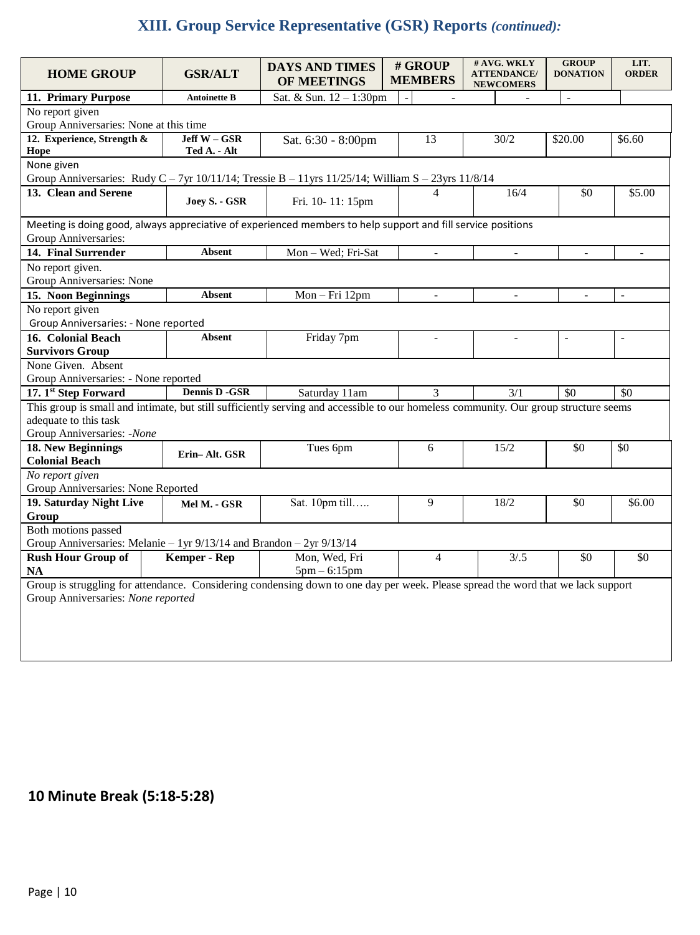# **XIII. Group Service Representative (GSR) Reports** *(continued):*

| <b>HOME GROUP</b>                                                                                                                    | <b>GSR/ALT</b>               | <b>DAYS AND TIMES</b><br>OF MEETINGS | # GROUP<br><b>MEMBERS</b> | # AVG. WKLY<br><b>ATTENDANCE/</b><br><b>NEWCOMERS</b> | <b>GROUP</b><br><b>DONATION</b> | LIT.<br><b>ORDER</b>     |  |  |
|--------------------------------------------------------------------------------------------------------------------------------------|------------------------------|--------------------------------------|---------------------------|-------------------------------------------------------|---------------------------------|--------------------------|--|--|
| 11. Primary Purpose                                                                                                                  | <b>Antoinette B</b>          | Sat. & Sun. 12 - 1:30pm              | $\sim$                    |                                                       | $\overline{a}$                  |                          |  |  |
| No report given                                                                                                                      |                              |                                      |                           |                                                       |                                 |                          |  |  |
| Group Anniversaries: None at this time                                                                                               |                              |                                      |                           |                                                       |                                 |                          |  |  |
| 12. Experience, Strength &<br>Hope                                                                                                   | Jeff W - GSR<br>Ted A. - Alt | Sat. 6:30 - 8:00pm                   | 13                        | 30/2                                                  | \$20.00                         | \$6.60                   |  |  |
| None given                                                                                                                           |                              |                                      |                           |                                                       |                                 |                          |  |  |
| Group Anniversaries: Rudy C - 7yr 10/11/14; Tressie B - 11yrs 11/25/14; William S - 23yrs 11/8/14                                    |                              |                                      |                           |                                                       |                                 |                          |  |  |
| 13. Clean and Serene                                                                                                                 |                              |                                      | 4                         | 16/4                                                  | \$0                             | \$5.00                   |  |  |
|                                                                                                                                      | Joey S. - GSR                | Fri. 10-11: 15pm                     |                           |                                                       |                                 |                          |  |  |
|                                                                                                                                      |                              |                                      |                           |                                                       |                                 |                          |  |  |
| Meeting is doing good, always appreciative of experienced members to help support and fill service positions<br>Group Anniversaries: |                              |                                      |                           |                                                       |                                 |                          |  |  |
| 14. Final Surrender                                                                                                                  | Absent                       | Mon - Wed; Fri-Sat                   | ÷,                        | $\blacksquare$                                        | $\overline{a}$                  |                          |  |  |
| No report given.                                                                                                                     |                              |                                      |                           |                                                       |                                 |                          |  |  |
| Group Anniversaries: None                                                                                                            |                              |                                      |                           |                                                       |                                 |                          |  |  |
| 15. Noon Beginnings                                                                                                                  | <b>Absent</b>                | Mon-Fri 12pm                         | $\overline{\phantom{a}}$  | $\blacksquare$                                        | $\blacksquare$                  | $\blacksquare$           |  |  |
| No report given                                                                                                                      |                              |                                      |                           |                                                       |                                 |                          |  |  |
| Group Anniversaries: - None reported                                                                                                 |                              |                                      |                           |                                                       |                                 |                          |  |  |
| 16. Colonial Beach                                                                                                                   | <b>Absent</b>                | Friday 7pm                           | $\overline{a}$            |                                                       | $\overline{a}$                  | $\overline{\phantom{a}}$ |  |  |
| <b>Survivors Group</b>                                                                                                               |                              |                                      |                           |                                                       |                                 |                          |  |  |
| None Given. Absent                                                                                                                   |                              |                                      |                           |                                                       |                                 |                          |  |  |
| Group Anniversaries: - None reported                                                                                                 |                              |                                      |                           |                                                       |                                 |                          |  |  |
| 17. 1st Step Forward                                                                                                                 | <b>Dennis D -GSR</b>         | Saturday 11am                        | 3                         | 3/1                                                   | \$0                             | \$0                      |  |  |
| This group is small and intimate, but still sufficiently serving and accessible to our homeless community. Our group structure seems |                              |                                      |                           |                                                       |                                 |                          |  |  |
| adequate to this task                                                                                                                |                              |                                      |                           |                                                       |                                 |                          |  |  |
| Group Anniversaries: -None                                                                                                           |                              |                                      |                           |                                                       |                                 |                          |  |  |
| 18. New Beginnings                                                                                                                   |                              | Tues 6pm                             | 6                         | 15/2                                                  | \$0                             | \$0                      |  |  |
| <b>Colonial Beach</b>                                                                                                                | Erin-Alt. GSR                |                                      |                           |                                                       |                                 |                          |  |  |
| No report given                                                                                                                      |                              |                                      |                           |                                                       |                                 |                          |  |  |
| Group Anniversaries: None Reported                                                                                                   |                              |                                      |                           |                                                       |                                 |                          |  |  |
| 19. Saturday Night Live                                                                                                              | Mel M. - GSR                 | Sat. 10pm till                       | 9                         | 18/2                                                  | \$0                             | \$6.00                   |  |  |
| Group                                                                                                                                |                              |                                      |                           |                                                       |                                 |                          |  |  |
| Both motions passed                                                                                                                  |                              |                                      |                           |                                                       |                                 |                          |  |  |
| Group Anniversaries: Melanie - 1yr $9/13/14$ and Brandon - 2yr $9/13/14$                                                             |                              |                                      |                           |                                                       |                                 |                          |  |  |
| <b>Rush Hour Group of</b>                                                                                                            | <b>Kemper - Rep</b>          | Mon, Wed, Fri                        | 4                         | 3/0.5                                                 | \$0                             | \$0                      |  |  |
| <b>NA</b>                                                                                                                            |                              | $5pm - 6:15pm$                       |                           |                                                       |                                 |                          |  |  |
| Group is struggling for attendance. Considering condensing down to one day per week. Please spread the word that we lack support     |                              |                                      |                           |                                                       |                                 |                          |  |  |
| Group Anniversaries: None reported                                                                                                   |                              |                                      |                           |                                                       |                                 |                          |  |  |
|                                                                                                                                      |                              |                                      |                           |                                                       |                                 |                          |  |  |
|                                                                                                                                      |                              |                                      |                           |                                                       |                                 |                          |  |  |
|                                                                                                                                      |                              |                                      |                           |                                                       |                                 |                          |  |  |
|                                                                                                                                      |                              |                                      |                           |                                                       |                                 |                          |  |  |

# **10 Minute Break (5:18-5:28)**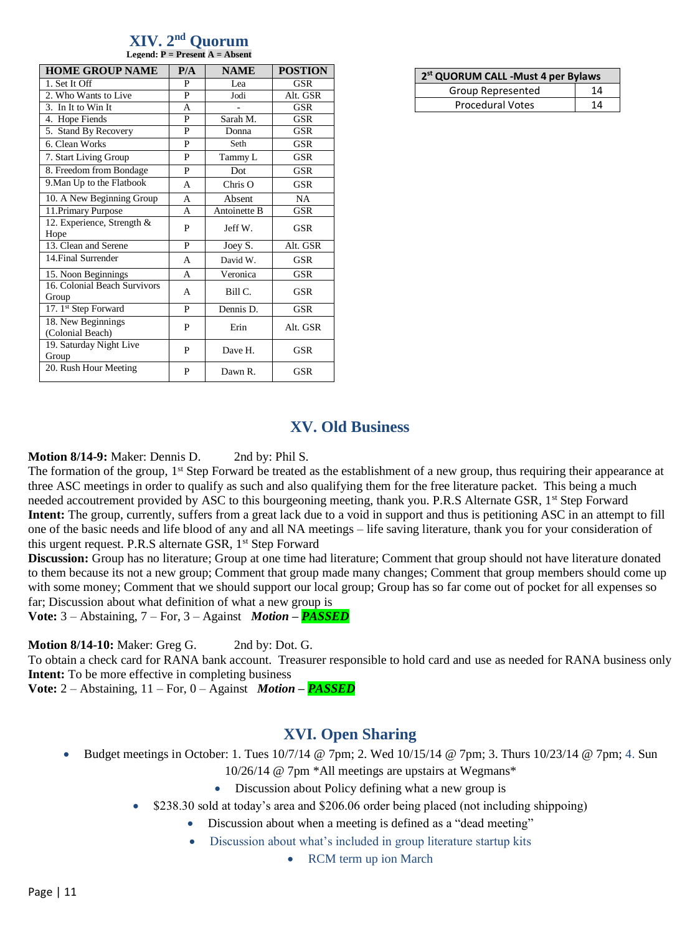|                                                    | XIV. 2 <sup>nd</sup> Ouorum |  |  |  |  |  |
|----------------------------------------------------|-----------------------------|--|--|--|--|--|
| <b>Legend: <math>P =</math> Present A = Absent</b> |                             |  |  |  |  |  |
|                                                    |                             |  |  |  |  |  |

| <b>HOME GROUP NAME</b>                 | P/A | <b>NAME</b>  | <b>POSTION</b> |
|----------------------------------------|-----|--------------|----------------|
| 1. Set It Off                          | P   | Lea          | <b>GSR</b>     |
| 2. Who Wants to Live                   | P   | Jodi         | Alt. GSR       |
| 3. In It to Win It                     | A   |              | <b>GSR</b>     |
| 4. Hope Fiends                         | P   | Sarah M.     | <b>GSR</b>     |
| 5. Stand By Recovery                   | P   | Donna        | GSR            |
| 6. Clean Works                         | P   | Seth         | <b>GSR</b>     |
| 7. Start Living Group                  | P   | Tammy L      | <b>GSR</b>     |
| 8. Freedom from Bondage                | P   | Dot          | <b>GSR</b>     |
| 9. Man Up to the Flatbook              | A   | $Chris$ O    | GSR            |
| 10. A New Beginning Group              | A   | Absent       | <b>NA</b>      |
| 11. Primary Purpose                    | A   | Antoinette B | GSR            |
| 12. Experience, Strength &<br>Hope     | P   | Jeff W.      | GSR            |
| 13. Clean and Serene                   | P   | Joey S.      | Alt. GSR       |
| 14. Final Surrender                    | A   | David W.     | <b>GSR</b>     |
| 15. Noon Beginnings                    | A   | Veronica     | <b>GSR</b>     |
| 16. Colonial Beach Survivors<br>Group  | A   | Bill C.      | <b>GSR</b>     |
| 17. 1 <sup>st</sup> Step Forward       | P   | Dennis D.    | <b>GSR</b>     |
| 18. New Beginnings<br>(Colonial Beach) | P   | Erin         | Alt. GSR       |
| 19. Saturday Night Live<br>Group       | P   | Dave H.      | <b>GSR</b>     |
| 20. Rush Hour Meeting                  | P   | Dawn R.      | <b>GSR</b>     |

| 2 <sup>st</sup> QUORUM CALL -Must 4 per Bylaws |    |  |  |  |
|------------------------------------------------|----|--|--|--|
| Group Represented                              | 14 |  |  |  |
| <b>Procedural Votes</b>                        | 14 |  |  |  |

## **XV. Old Business**

## **Motion 8/14-9:** Maker: Dennis D. 2nd by: Phil S.

The formation of the group, 1<sup>st</sup> Step Forward be treated as the establishment of a new group, thus requiring their appearance at three ASC meetings in order to qualify as such and also qualifying them for the free literature packet. This being a much needed accoutrement provided by ASC to this bourgeoning meeting, thank you. P.R.S Alternate GSR, 1<sup>st</sup> Step Forward **Intent:** The group, currently, suffers from a great lack due to a void in support and thus is petitioning ASC in an attempt to fill one of the basic needs and life blood of any and all NA meetings – life saving literature, thank you for your consideration of this urgent request. P.R.S alternate GSR, 1<sup>st</sup> Step Forward

**Discussion:** Group has no literature; Group at one time had literature; Comment that group should not have literature donated to them because its not a new group; Comment that group made many changes; Comment that group members should come up with some money; Comment that we should support our local group; Group has so far come out of pocket for all expenses so far; Discussion about what definition of what a new group is

**Vote:** 3 – Abstaining, 7 – For, 3 – Against *Motion – PASSED*

**Motion 8/14-10:** Maker: Greg G. 2nd by: Dot. G.

To obtain a check card for RANA bank account. Treasurer responsible to hold card and use as needed for RANA business only **Intent:** To be more effective in completing business

**Vote:** 2 – Abstaining, 11 – For, 0 – Against *Motion – PASSED*

## **XVI. Open Sharing**

- Budget meetings in October: 1. Tues 10/7/14 @ 7pm; 2. Wed 10/15/14 @ 7pm; 3. Thurs 10/23/14 @ 7pm; 4. Sun 10/26/14 @ 7pm \*All meetings are upstairs at Wegmans\*
	- Discussion about Policy defining what a new group is
	- \$238.30 sold at today's area and \$206.06 order being placed (not including shippoing)
		- Discussion about when a meeting is defined as a "dead meeting"
		- Discussion about what's included in group literature startup kits
			- RCM term up ion March